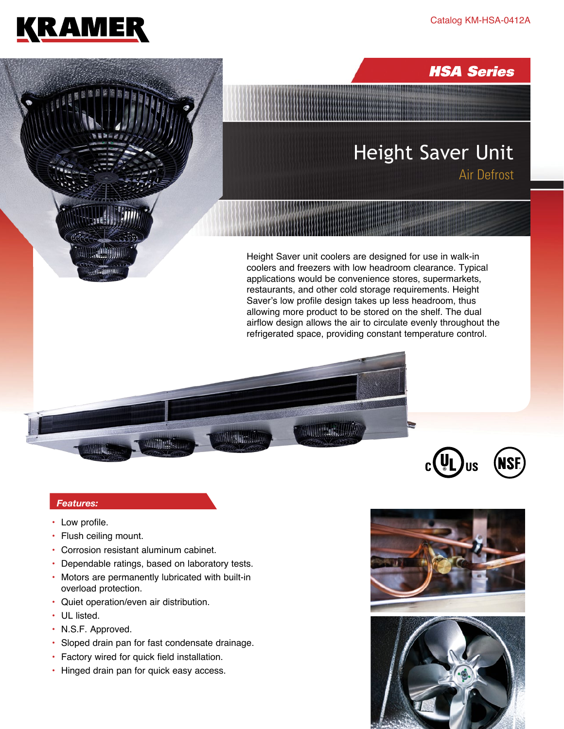



## *Features:*

- Low profile.
- Flush ceiling mount.
- Corrosion resistant aluminum cabinet.
- Dependable ratings, based on laboratory tests.
- Motors are permanently lubricated with built-in overload protection.
- Quiet operation/even air distribution.
- UL listed.
- N.S.F. Approved.
- Sloped drain pan for fast condensate drainage.
- Factory wired for quick field installation.
- Hinged drain pan for quick easy access.